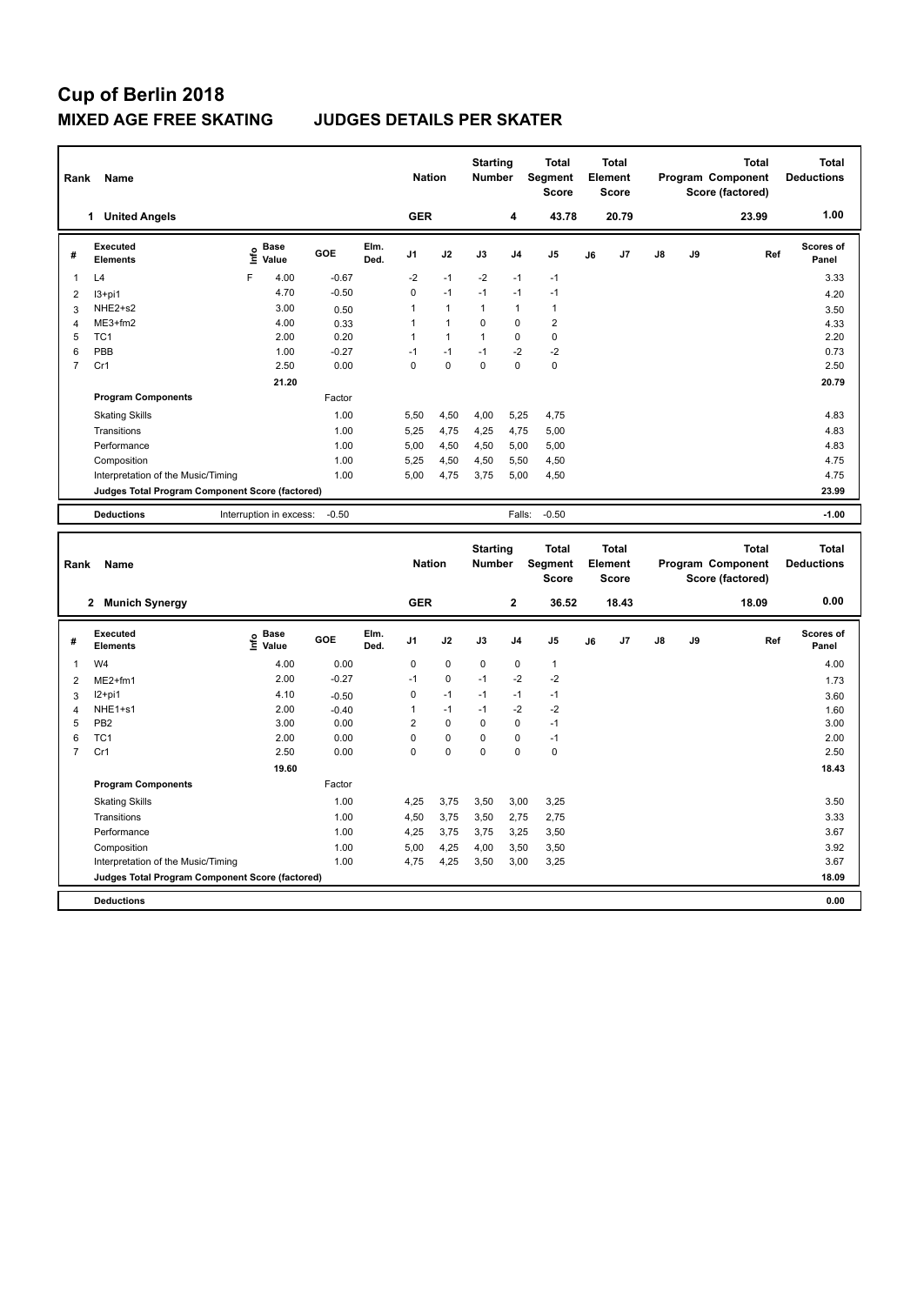## **Cup of Berlin 2018 MIXED AGE FREE SKATING JUDGES DETAILS PER SKATER**

|                | Name<br>Rank                                    |                         |                      |         |              |                |                | <b>Starting</b><br><b>Number</b> |                | <b>Total</b><br>Segment<br><b>Score</b> | <b>Total</b><br>Element<br><b>Score</b> |                |               |    | <b>Total</b><br>Program Component<br>Score (factored) | <b>Total</b><br><b>Deductions</b> |
|----------------|-------------------------------------------------|-------------------------|----------------------|---------|--------------|----------------|----------------|----------------------------------|----------------|-----------------------------------------|-----------------------------------------|----------------|---------------|----|-------------------------------------------------------|-----------------------------------|
|                | <b>United Angels</b><br>1.                      |                         |                      |         |              | <b>GER</b>     |                |                                  | 4              | 43.78                                   |                                         | 20.79          |               |    | 23.99                                                 | 1.00                              |
| #              | Executed<br><b>Elements</b>                     | ١nf٥                    | <b>Base</b><br>Value | GOE     | Elm.<br>Ded. | J <sub>1</sub> | J2             | J3                               | J <sub>4</sub> | J <sub>5</sub>                          | J6                                      | J <sub>7</sub> | $\mathsf{J}8$ | J9 | Ref                                                   | <b>Scores of</b><br>Panel         |
| 1              | L4                                              | F                       | 4.00                 | $-0.67$ |              | $-2$           | $-1$           | $-2$                             | $-1$           | $-1$                                    |                                         |                |               |    |                                                       | 3.33                              |
| $\overline{2}$ | $13+pi1$                                        |                         | 4.70                 | $-0.50$ |              | 0              | $-1$           | $-1$                             | $-1$           | $-1$                                    |                                         |                |               |    |                                                       | 4.20                              |
| 3              | NHE2+s2                                         |                         | 3.00                 | 0.50    |              | 1              | $\mathbf{1}$   | 1                                | $\overline{1}$ | 1                                       |                                         |                |               |    |                                                       | 3.50                              |
| 4              | $ME3+fm2$                                       |                         | 4.00                 | 0.33    |              | 1              | $\overline{1}$ | 0                                | $\mathbf 0$    | $\overline{2}$                          |                                         |                |               |    |                                                       | 4.33                              |
| 5              | TC <sub>1</sub>                                 |                         | 2.00                 | 0.20    |              | 1              | 1              | 1                                | $\mathbf 0$    | 0                                       |                                         |                |               |    |                                                       | 2.20                              |
| 6              | PBB                                             |                         | 1.00                 | $-0.27$ |              | $-1$           | $-1$           | $-1$                             | $-2$           | $-2$                                    |                                         |                |               |    |                                                       | 0.73                              |
| $\overline{7}$ | Cr1                                             |                         | 2.50                 | 0.00    |              | $\Omega$       | $\mathbf 0$    | $\mathbf 0$                      | $\mathbf 0$    | $\pmb{0}$                               |                                         |                |               |    |                                                       | 2.50                              |
|                | 21.20                                           |                         |                      |         |              |                |                |                                  |                |                                         |                                         |                |               |    |                                                       | 20.79                             |
|                | <b>Program Components</b>                       |                         |                      | Factor  |              |                |                |                                  |                |                                         |                                         |                |               |    |                                                       |                                   |
|                | <b>Skating Skills</b>                           |                         |                      | 1.00    |              | 5,50           | 4,50           | 4,00                             | 5,25           | 4,75                                    |                                         |                |               |    |                                                       | 4.83                              |
|                | Transitions                                     |                         |                      | 1.00    |              | 5.25           | 4,75           | 4,25                             | 4,75           | 5,00                                    |                                         |                |               |    |                                                       | 4.83                              |
|                | Performance                                     |                         |                      | 1.00    |              | 5.00           | 4,50           | 4,50                             | 5,00           | 5,00                                    |                                         |                |               |    |                                                       | 4.83                              |
|                | Composition                                     |                         |                      | 1.00    |              | 5.25           | 4,50           | 4,50                             | 5.50           | 4,50                                    |                                         |                |               |    |                                                       | 4.75                              |
|                | Interpretation of the Music/Timing              |                         |                      | 1.00    |              | 5,00           | 4,75           | 3.75                             | 5,00           | 4,50                                    |                                         |                |               |    |                                                       | 4.75                              |
|                | Judges Total Program Component Score (factored) |                         |                      |         |              |                |                |                                  |                |                                         |                                         | 23.99          |               |    |                                                       |                                   |
|                | <b>Deductions</b>                               | Interruption in excess: |                      | $-0.50$ |              |                |                |                                  | Falls:         | $-0.50$                                 |                                         |                |               |    |                                                       | $-1.00$                           |

| Rank                    | Name                                            | <b>Nation</b>              |         | <b>Starting</b><br><b>Number</b> |                | <b>Total</b><br>Segment<br><b>Score</b> | <b>Total</b><br>Element<br><b>Score</b> |                |                |    | <b>Total</b><br>Program Component<br>Score (factored) | <b>Total</b><br><b>Deductions</b> |    |       |                           |
|-------------------------|-------------------------------------------------|----------------------------|---------|----------------------------------|----------------|-----------------------------------------|-----------------------------------------|----------------|----------------|----|-------------------------------------------------------|-----------------------------------|----|-------|---------------------------|
|                         | 2 Munich Synergy                                |                            |         |                                  | <b>GER</b>     |                                         |                                         | $\mathbf{2}$   | 36.52          |    | 18.43                                                 |                                   |    | 18.09 | 0.00                      |
| #                       | Executed<br><b>Elements</b>                     | <b>Base</b><br>۴ů<br>Value | GOE     | Elm.<br>Ded.                     | J <sub>1</sub> | J2                                      | J3                                      | J <sub>4</sub> | J <sub>5</sub> | J6 | J7                                                    | $\mathsf{J}8$                     | J9 | Ref   | <b>Scores of</b><br>Panel |
| $\overline{\mathbf{1}}$ | W4                                              | 4.00                       | 0.00    |                                  | 0              | $\pmb{0}$                               | 0                                       | 0              | $\mathbf{1}$   |    |                                                       |                                   |    |       | 4.00                      |
| $\overline{2}$          | ME2+fm1                                         | 2.00                       | $-0.27$ |                                  | $-1$           | $\mathbf 0$                             | $-1$                                    | $-2$           | $-2$           |    |                                                       |                                   |    |       | 1.73                      |
| 3                       | $12+pi1$                                        | 4.10                       | $-0.50$ |                                  | 0              | $-1$                                    | $-1$                                    | $-1$           | $-1$           |    |                                                       |                                   |    |       | 3.60                      |
| 4                       | NHE <sub>1+s1</sub>                             | 2.00                       | $-0.40$ |                                  | 1              | $-1$                                    | $-1$                                    | $-2$           | $-2$           |    |                                                       |                                   |    |       | 1.60                      |
| 5                       | PB <sub>2</sub>                                 | 3.00                       | 0.00    |                                  | 2              | $\mathbf 0$                             | $\Omega$                                | $\mathbf 0$    | $-1$           |    |                                                       |                                   |    |       | 3.00                      |
| 6                       | TC <sub>1</sub>                                 | 2.00                       | 0.00    |                                  | $\Omega$       | $\mathbf 0$                             | $\Omega$                                | $\mathbf 0$    | $-1$           |    |                                                       |                                   |    |       | 2.00                      |
| $\overline{7}$          | Cr1                                             | 2.50                       | 0.00    |                                  | $\Omega$       | $\mathbf 0$                             | $\Omega$                                | $\Omega$       | $\mathbf 0$    |    |                                                       |                                   |    |       | 2.50                      |
|                         |                                                 |                            |         |                                  |                |                                         |                                         |                |                |    |                                                       | 18.43                             |    |       |                           |
|                         | <b>Program Components</b>                       |                            | Factor  |                                  |                |                                         |                                         |                |                |    |                                                       |                                   |    |       |                           |
|                         | <b>Skating Skills</b>                           |                            | 1.00    |                                  | 4,25           | 3,75                                    | 3,50                                    | 3,00           | 3,25           |    |                                                       |                                   |    |       | 3.50                      |
|                         | Transitions                                     |                            | 1.00    |                                  | 4,50           | 3,75                                    | 3,50                                    | 2,75           | 2,75           |    |                                                       |                                   |    |       | 3.33                      |
|                         | Performance                                     |                            | 1.00    |                                  | 4,25           | 3,75                                    | 3,75                                    | 3,25           | 3,50           |    |                                                       |                                   |    |       | 3.67                      |
|                         | Composition                                     |                            | 1.00    |                                  | 5,00           | 4,25                                    | 4,00                                    | 3,50           | 3,50           |    |                                                       |                                   |    |       | 3.92                      |
|                         | Interpretation of the Music/Timing              |                            | 1.00    |                                  | 4,75           | 4,25                                    | 3,50                                    | 3,00           | 3,25           |    |                                                       |                                   |    |       | 3.67                      |
|                         | Judges Total Program Component Score (factored) |                            |         |                                  |                |                                         |                                         |                |                |    |                                                       |                                   |    |       | 18.09                     |
|                         | <b>Deductions</b>                               |                            |         |                                  |                |                                         |                                         |                |                |    |                                                       |                                   |    |       | 0.00                      |